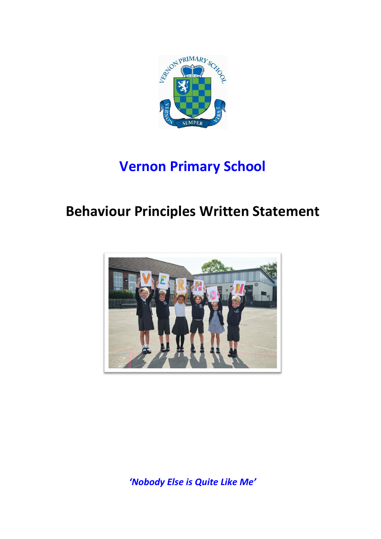

## **Vernon Primary School**

## **Behaviour Principles Written Statement**



*'Nobody Else is Quite Like Me'*